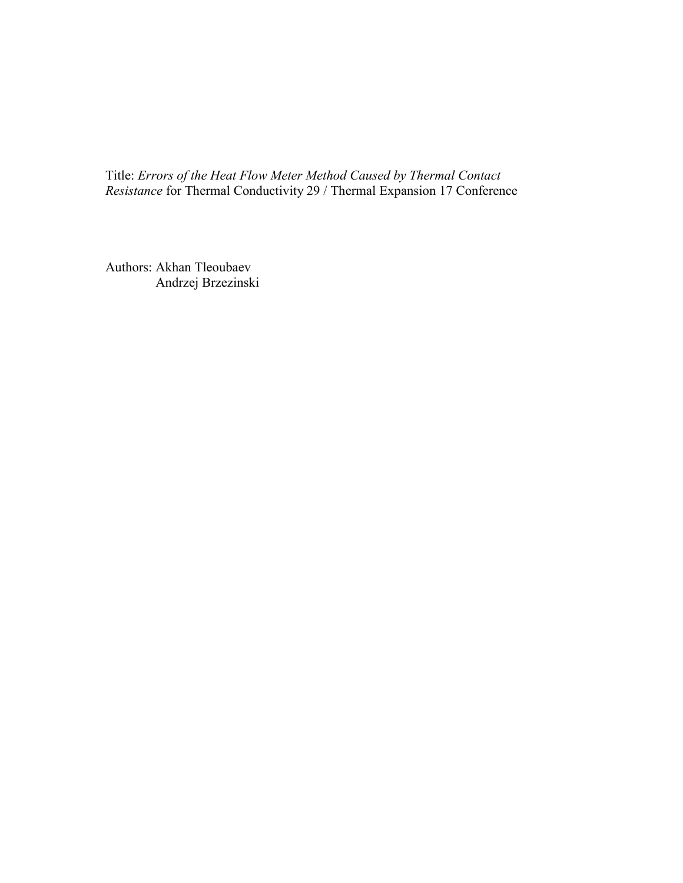Title: *Errors of the Heat Flow Meter Method Caused by Thermal Contact Resistance* for Thermal Conductivity 29 / Thermal Expansion 17 Conference

Authors: Akhan Tleoubaev Andrzej Brzezinski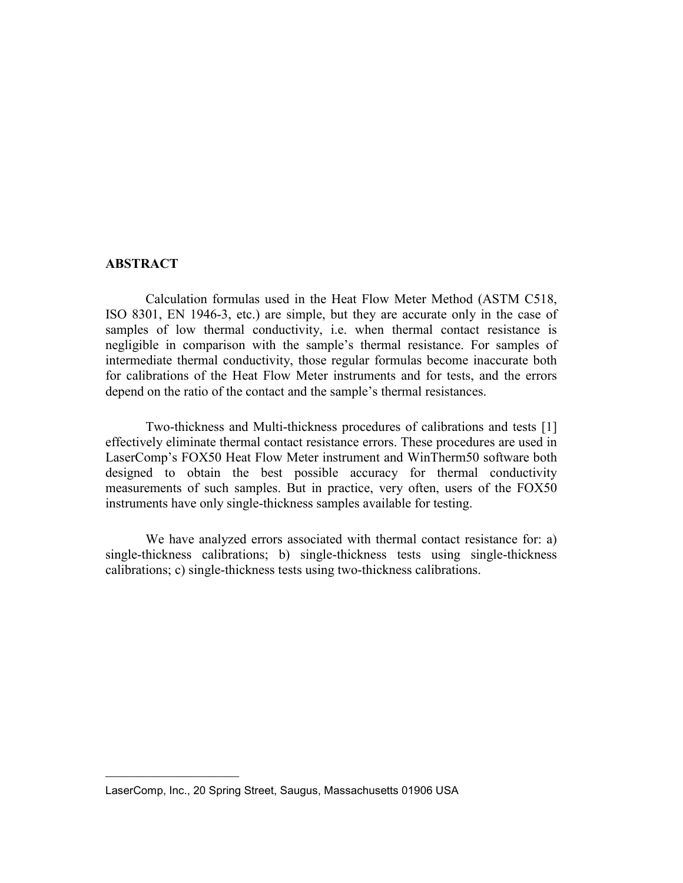### **ABSTRACT**

Calculation formulas used in the Heat Flow Meter Method (ASTM C518, ISO 8301, EN 1946-3, etc.) are simple, but they are accurate only in the case of samples of low thermal conductivity, i.e. when thermal contact resistance is negligible in comparison with the sample's thermal resistance. For samples of intermediate thermal conductivity, those regular formulas become inaccurate both for calibrations of the Heat Flow Meter instruments and for tests, and the errors depend on the ratio of the contact and the sample's thermal resistances.

Two-thickness and Multi-thickness procedures of calibrations and tests [1] effectively eliminate thermal contact resistance errors. These procedures are used in LaserComp's FOX50 Heat Flow Meter instrument and WinTherm50 software both designed to obtain the best possible accuracy for thermal conductivity measurements of such samples. But in practice, very often, users of the FOX50 instruments have only single-thickness samples available for testing.

We have analyzed errors associated with thermal contact resistance for: a) single-thickness calibrations; b) single-thickness tests using single-thickness calibrations; c) single-thickness tests using two-thickness calibrations.

 $\mathcal{L}_\text{max}$  , where  $\mathcal{L}_\text{max}$  , we have the set of  $\mathcal{L}_\text{max}$ 

LaserComp, Inc., 20 Spring Street, Saugus, Massachusetts 01906 USA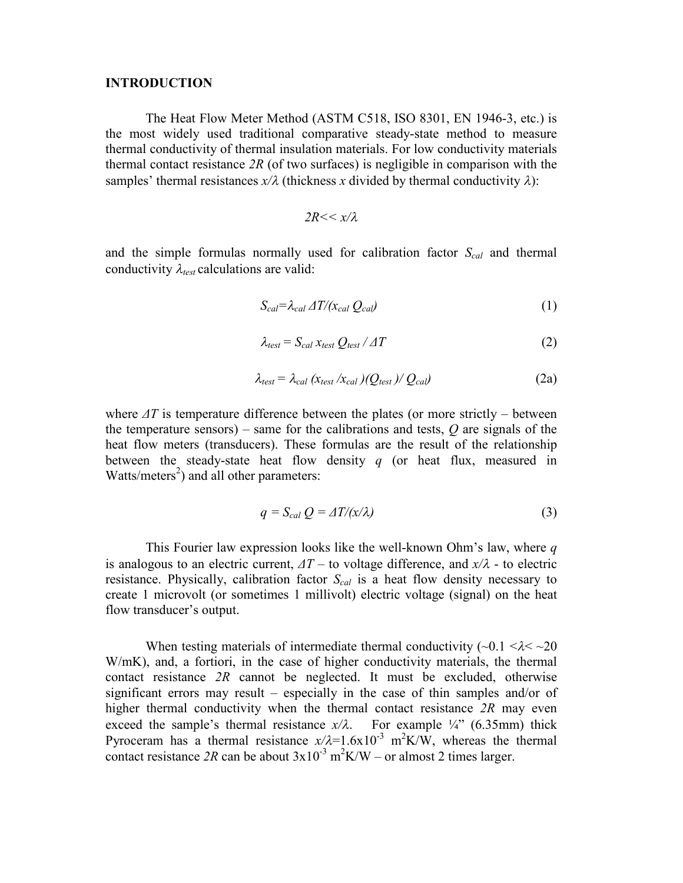### **INTRODUCTION**

The Heat Flow Meter Method (ASTM C518, ISO 8301, EN 1946-3, etc.) is the most widely used traditional comparative steady-state method to measure thermal conductivity of thermal insulation materials. For low conductivity materials thermal contact resistance *2R* (of two surfaces) is negligible in comparison with the samples' thermal resistances  $x/\lambda$  (thickness *x* divided by thermal conductivity  $\lambda$ ):

$$
2R << x/\lambda
$$

and the simple formulas normally used for calibration factor *Scal* and thermal conductivity  $\lambda_{test}$  calculations are valid:

$$
S_{cal} = \lambda_{cal} \Delta T / (x_{cal} Q_{cal}) \tag{1}
$$

$$
\lambda_{test} = S_{cal} \, x_{test} \, Q_{test} \, / \, \Delta T \tag{2}
$$

$$
\lambda_{test} = \lambda_{cal} \left( x_{test} / x_{cal} \right) / Q_{test} / Q_{cal} \tag{2a}
$$

where  $\Delta T$  is temperature difference between the plates (or more strictly – between the temperature sensors) – same for the calibrations and tests,  $Q$  are signals of the heat flow meters (transducers). These formulas are the result of the relationship between the steady-state heat flow density *q* (or heat flux, measured in Watts/meters<sup>2</sup>) and all other parameters:

$$
q = S_{cal} Q = \Delta T / (x/\lambda)
$$
 (3)

This Fourier law expression looks like the well-known Ohm's law, where q is analogous to an electric current,  $\Delta T$  – to voltage difference, and  $x/\lambda$  - to electric resistance. Physically, calibration factor *Scal* is a heat flow density necessary to create 1 microvolt (or sometimes 1 millivolt) electric voltage (signal) on the heat flow transducer's output.

When testing materials of intermediate thermal conductivity  $(\sim 0.1 \le \lambda \le \sim 20$ W/mK), and, a fortiori, in the case of higher conductivity materials, the thermal contact resistance *2R* cannot be neglected. It must be excluded, otherwise significant errors may result – especially in the case of thin samples and/or of higher thermal conductivity when the thermal contact resistance *2R* may even exceed the sample's thermal resistance  $x/\lambda$ . For example  $\frac{1}{4}$ " (6.35mm) thick Pyroceram has a thermal resistance  $x/\lambda = 1.6x10^{-3}$  m<sup>2</sup>K/W, whereas the thermal contact resistance 2R can be about  $3x10^{-3}$  m<sup>2</sup>K/W – or almost 2 times larger.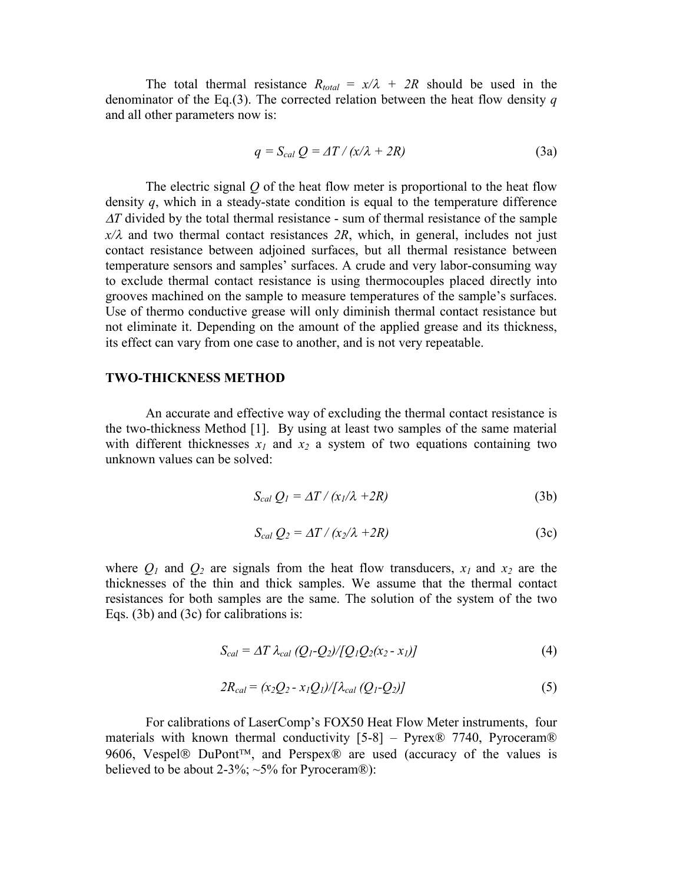The total thermal resistance  $R_{total} = x/\lambda + 2R$  should be used in the denominator of the Eq.(3). The corrected relation between the heat flow density *q* and all other parameters now is:

$$
q = S_{cal} Q = \Delta T / (x/\lambda + 2R)
$$
 (3a)

The electric signal *Q* of the heat flow meter is proportional to the heat flow density *q*, which in a steady-state condition is equal to the temperature difference *AT* divided by the total thermal resistance - sum of thermal resistance of the sample  $x/\lambda$  and two thermal contact resistances  $2R$ , which, in general, includes not just contact resistance between adjoined surfaces, but all thermal resistance between temperature sensors and samples' surfaces. A crude and very labor-consuming way to exclude thermal contact resistance is using thermocouples placed directly into grooves machined on the sample to measure temperatures of the sample's surfaces. Use of thermo conductive grease will only diminish thermal contact resistance but not eliminate it. Depending on the amount of the applied grease and its thickness, its effect can vary from one case to another, and is not very repeatable.

### **TWO-THICKNESS METHOD**

An accurate and effective way of excluding the thermal contact resistance is the two-thickness Method [1]. By using at least two samples of the same material with different thicknesses  $x_1$  and  $x_2$  a system of two equations containing two unknown values can be solved:

$$
S_{cal} Q_I = \Delta T / (x_I / \lambda + 2R) \tag{3b}
$$

$$
S_{cal} Q_2 = \Delta T / (x_2 / \lambda + 2R) \tag{3c}
$$

where  $Q_1$  and  $Q_2$  are signals from the heat flow transducers,  $x_1$  and  $x_2$  are the thicknesses of the thin and thick samples. We assume that the thermal contact resistances for both samples are the same. The solution of the system of the two Eqs. (3b) and (3c) for calibrations is:

$$
S_{cal} = \Delta T \lambda_{cal} (Q_1 - Q_2) / [Q_1 Q_2 (x_2 - x_1)] \tag{4}
$$

$$
2R_{cal} = (x_2Q_2 - x_1Q_1)/[\lambda_{cal}(Q_1 - Q_2)]
$$
\n(5)

For calibrations of LaserComp's FOX50 Heat Flow Meter instruments, four materials with known thermal conductivity  $[5-8]$  – Pyrex® 7740, Pyroceram® 9606, Vespel® DuPont<sup>™</sup>, and Perspex® are used (accuracy of the values is believed to be about 2-3%;  $\sim$ 5% for Pyroceram®):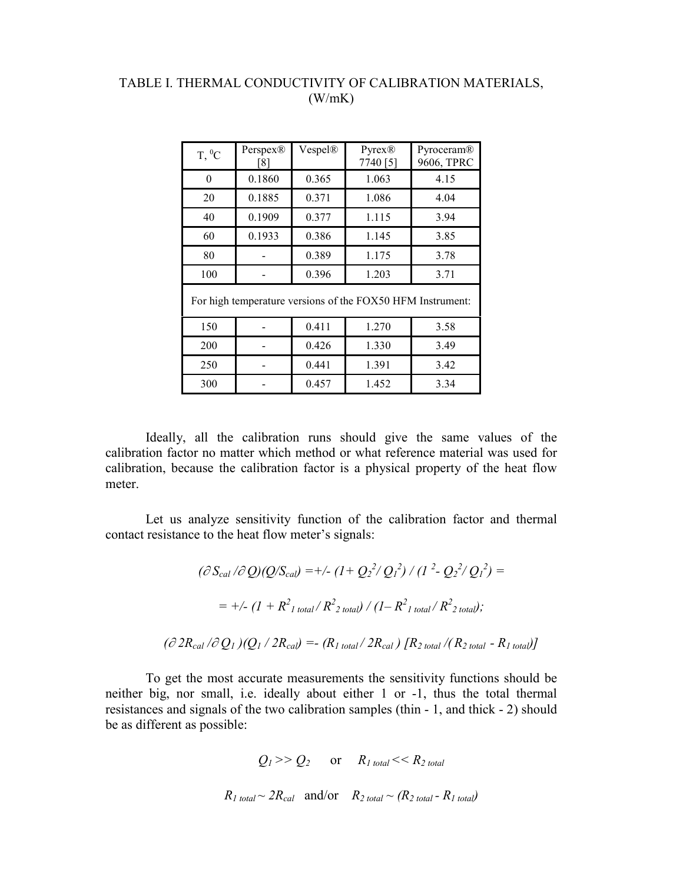# TABLE I. THERMAL CONDUCTIVITY OF CALIBRATION MATERIALS, (W/mK)

| $T,{}^{0}C$ | Perspex®<br>[8] | Vespel® | Pyrex@<br>7740 [5] | Pyroceram®<br>9606, TPRC |
|-------------|-----------------|---------|--------------------|--------------------------|
|             | 0.1860          | 0.365   | 1.063              | 4.15                     |
| 20          | 0.1885          | 0.371   | 1.086              | 4.04                     |
| 40          | 0.1909          | 0.377   | 1.115              | 3.94                     |
| 60          | 0.1933          | 0.386   | 1.145              | 3.85                     |
| 80          |                 | 0.389   | 1.175              | 3.78                     |
| 100         |                 | 0.396   | 1.203              | 3.71                     |
|             |                 |         |                    |                          |

For high temperature versions of the FOX50 HFM Instrument:

| 150 | 0.411 | 1.270 | 3.58 |
|-----|-------|-------|------|
| 200 | 0.426 | 1.330 | 3.49 |
| 250 | 0.441 | 1.391 | 3.42 |
| 300 | 0.457 | 1.452 | 3.34 |

Ideally, all the calibration runs should give the same values of the calibration factor no matter which method or what reference material was used for calibration, because the calibration factor is a physical property of the heat flow meter.

Let us analyze sensitivity function of the calibration factor and thermal contact resistance to the heat flow meter's signals:

$$
(\partial S_{cal} / \partial Q)(Q/S_{cal}) = +/- (1 + Q_2^2 / Q_1^2) / (1^2 - Q_2^2 / Q_1^2) =
$$
  
= +/- (1 + R<sup>2</sup><sub>1 total</sub> / R<sup>2</sup><sub>2 total</sub>) / (1 - R<sup>2</sup><sub>1 total</sub> / R<sup>2</sup><sub>2 total</sub>);  
( $\partial 2R_{cal} / \partial Q_1$ )( $Q_1 / 2R_{cal}) = - (R_{1 total} / 2R_{cal}) [R_{2 total} / (R_{2 total} - R_{1 total})]$ 

To get the most accurate measurements the sensitivity functions should be neither big, nor small, i.e. ideally about either 1 or -1, thus the total thermal resistances and signals of the two calibration samples (thin - 1, and thick - 2) should be as different as possible:

$$
Q_1 >> Q_2
$$
 or  $R_1_{total} << R_2_{total}$   
 $R_1_{total} \sim 2R_{cal}$  and/or  $R_2_{total} \sim (R_2_{total} - R_1_{total})$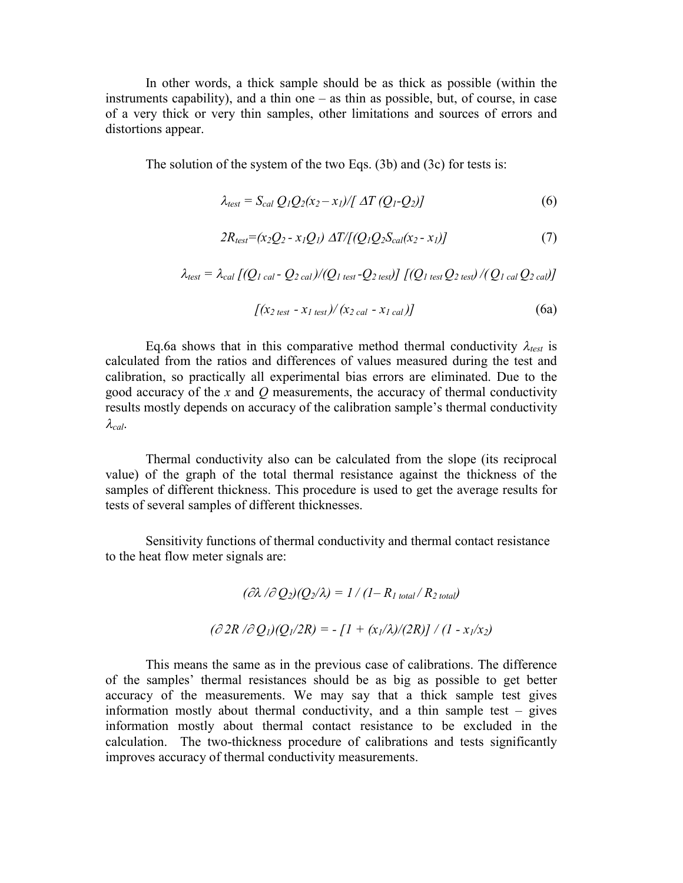In other words, a thick sample should be as thick as possible (within the instruments capability), and a thin one  $-$  as thin as possible, but, of course, in case of a very thick or very thin samples, other limitations and sources of errors and distortions appear.

The solution of the system of the two Eqs. (3b) and (3c) for tests is:

$$
\lambda_{test} = S_{cal} Q_1 Q_2 (x_2 - x_1) / [\Delta T (Q_1 - Q_2)] \tag{6}
$$

$$
2R_{test} = (x_2Q_2 - x_1Q_1) \Delta T / [(Q_1Q_2S_{cal}(x_2 - x_1)] \tag{7}
$$

$$
\lambda_{\text{test}} = \lambda_{\text{cal}} [ (Q_{1 \text{ cal}} - Q_{2 \text{ cal}}) / (Q_{1 \text{ test}} - Q_{2 \text{ test}})] [(Q_{1 \text{ test}} Q_{2 \text{ test}}) / (Q_{1 \text{ cal}} Q_{2 \text{ cal}})]
$$

$$
[(x2 test - x1 test)/(x2 cal - x1 cal)]
$$
 (6a)

Eq.6a shows that in this comparative method thermal conductivity  $\lambda_{test}$  is calculated from the ratios and differences of values measured during the test and calibration, so practically all experimental bias errors are eliminated. Due to the good accuracy of the *x* and *Q* measurements, the accuracy of thermal conductivity results mostly depends on accuracy of the calibration sample's thermal conductivity  $\lambda_{cal}$ .

Thermal conductivity also can be calculated from the slope (its reciprocal value) of the graph of the total thermal resistance against the thickness of the samples of different thickness. This procedure is used to get the average results for tests of several samples of different thicknesses.

Sensitivity functions of thermal conductivity and thermal contact resistance to the heat flow meter signals are:

$$
(\partial \lambda / \partial Q_2)(Q_2/\lambda) = 1 / (1 - R_{1 total} / R_{2 total})
$$

$$
(\partial 2R / \partial Q_1)(Q_1/2R) = - [1 + (x_1/\lambda)/(2R)] / (1 - x_1/x_2)
$$

This means the same as in the previous case of calibrations. The difference of the samples' thermal resistances should be as big as possible to get better accuracy of the measurements. We may say that a thick sample test gives information mostly about thermal conductivity, and a thin sample test  $-$  gives information mostly about thermal contact resistance to be excluded in the calculation. The two-thickness procedure of calibrations and tests significantly improves accuracy of thermal conductivity measurements.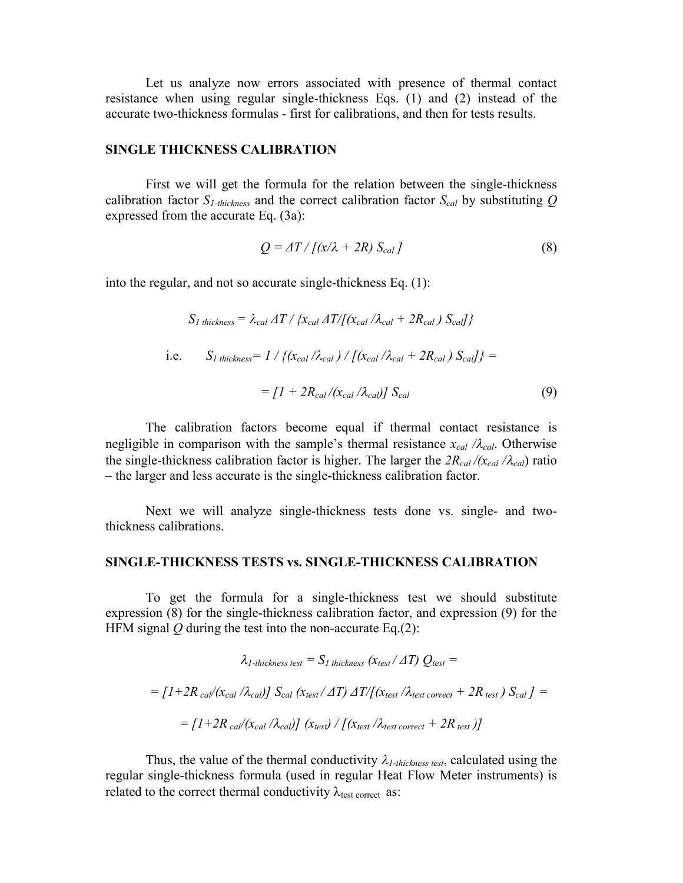Let us analyze now errors associated with presence of thermal contact resistance when using regular single-thickness Eqs. (1) and (2) instead of the accurate two-thickness formulas - first for calibrations, and then for tests results.

### **SINGLE THICKNESS CALIBRATION**

First we will get the formula for the relation between the single-thickness calibration factor *S1-thickness* and the correct calibration factor *Scal* by substituting *Q* expressed from the accurate Eq. (3a):

$$
Q = \Delta T / [(x/\lambda + 2R) S_{cal}]
$$
\n(8)

into the regular, and not so accurate single-thickness Eq. (1):

$$
S_{I\text{ thickness}} = \lambda_{cal} \Delta T / \{x_{cal} \Delta T / [(x_{cal} / \lambda_{cal} + 2R_{cal}) S_{cal}] \}
$$
  
i.e. 
$$
S_{I\text{ thickness}} = 1 / \{ (x_{cal} / \lambda_{cal}) / [(x_{cal} / \lambda_{cal} + 2R_{cal}) S_{cal}] \} =
$$

$$
= [1 + 2R_{cal} / (x_{cal} / \lambda_{cal})] S_{cal} \tag{9}
$$

The calibration factors become equal if thermal contact resistance is negligible in comparison with the sample's thermal resistance  $x_{cal}$  */* $\lambda_{cal}$ . Otherwise the single-thickness calibration factor is higher. The larger the  $2R_{cal}/(x_{cal}/\lambda_{cal})$  ratio –the larger and less accurate is the single-thickness calibration factor.

Next we will analyze single-thickness tests done vs. single- and twothickness calibrations.

### **SINGLE-THICKNESS TESTS vs. SINGLE-THICKNESS CALIBRATION**

To get the formula for a single-thickness test we should substitute expression (8) for the single-thickness calibration factor, and expression (9) for the HFM signal *Q* during the test into the non-accurate Eq.(2):

$$
\lambda_{1\text{-thickness test}} = S_{1\text{ thickness}} (\chi_{\text{test}} / \Delta T) Q_{\text{test}} =
$$
\n
$$
= [1 + 2R_{\text{cal}} / (\chi_{\text{cal}} / \lambda_{\text{cal}})] S_{\text{cal}} (\chi_{\text{test}} / \Delta T) \Delta T / [(\chi_{\text{test}} / \lambda_{\text{test correct}} + 2R_{\text{test}}) S_{\text{cal}}] =
$$
\n
$$
= [1 + 2R_{\text{cal}} / (\chi_{\text{cal}} / \lambda_{\text{cal}})] ( \chi_{\text{test}}) / [(\chi_{\text{test}} / \lambda_{\text{test correct}} + 2R_{\text{test}})]
$$

Thus, the value of the thermal conductivity  $\lambda_{l-thickness test}$ , calculated using the regular single-thickness formula (used in regular Heat Flow Meter instruments) is related to the correct thermal conductivity  $\lambda_{\text{test correct}}$  as: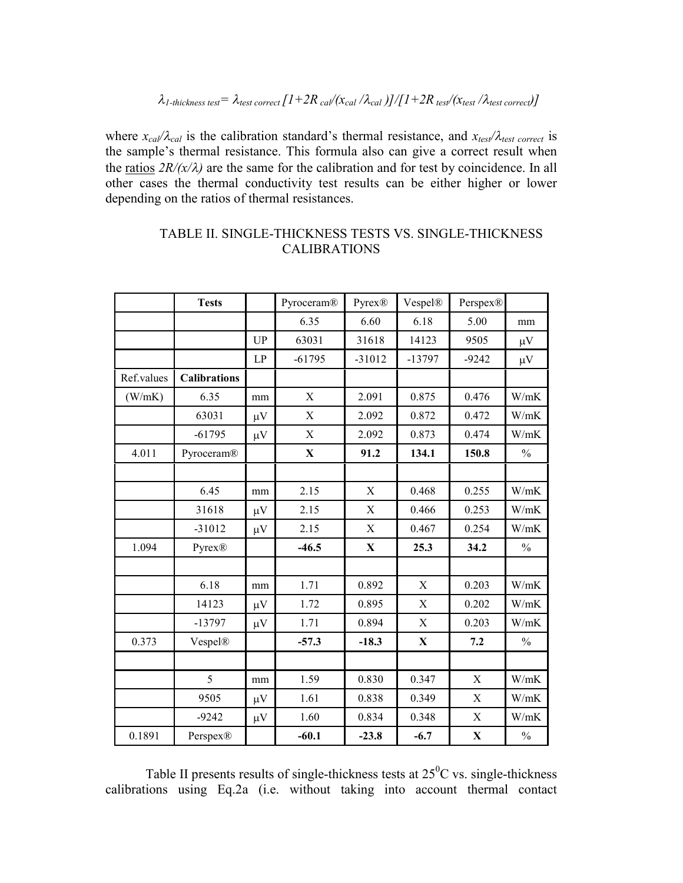where  $x_{cal}/\lambda_{cal}$  is the calibration standard's thermal resistance, and  $x_{test}/\lambda_{test}$  correct is the sample's thermal resistance. This formula also can give a correct result when the ratios  $2R/(x/\lambda)$  are the same for the calibration and for test by coincidence. In all other cases the thermal conductivity test results can be either higher or lower depending on the ratios of thermal resistances.

|            | <b>Tests</b>        |           | Pyroceram®  | Pyrex®      | Vespel®     | Perspex®    |               |
|------------|---------------------|-----------|-------------|-------------|-------------|-------------|---------------|
|            |                     |           | 6.35        | 6.60        | 6.18        | 5.00        | mm            |
|            |                     | <b>UP</b> | 63031       | 31618       | 14123       | 9505        | $\mu V$       |
|            |                     | LP        | $-61795$    | $-31012$    | $-13797$    | $-9242$     | $\mu V$       |
| Ref.values | <b>Calibrations</b> |           |             |             |             |             |               |
| (W/mK)     | 6.35                | mm        | $\mathbf X$ | 2.091       | 0.875       | 0.476       | W/mK          |
|            | 63031               | $\mu V$   | $\mathbf X$ | 2.092       | 0.872       | 0.472       | W/mK          |
|            | $-61795$            | $\mu V$   | $\mathbf X$ | 2.092       | 0.873       | 0.474       | W/mK          |
| 4.011      | Pyroceram®          |           | $\mathbf X$ | 91.2        | 134.1       | 150.8       | $\frac{0}{0}$ |
|            |                     |           |             |             |             |             |               |
|            | 6.45                | mm        | 2.15        | $\mathbf X$ | 0.468       | 0.255       | W/mK          |
|            | 31618               | $\mu V$   | 2.15        | $\mathbf X$ | 0.466       | 0.253       | W/mK          |
|            | $-31012$            | $\mu V$   | 2.15        | X           | 0.467       | 0.254       | W/mK          |
| 1.094      | Pyrex®              |           | $-46.5$     | X           | 25.3        | 34.2        | $\frac{0}{0}$ |
|            |                     |           |             |             |             |             |               |
|            | 6.18                | mm        | 1.71        | 0.892       | $\mathbf X$ | 0.203       | W/mK          |
|            | 14123               | $\mu V$   | 1.72        | 0.895       | $\mathbf X$ | 0.202       | W/mK          |
|            | -13797              | $\mu V$   | 1.71        | 0.894       | $\mathbf X$ | 0.203       | W/mK          |
| 0.373      | Vespel®             |           | $-57.3$     | $-18.3$     | X           | 7.2         | $\frac{0}{0}$ |
|            |                     |           |             |             |             |             |               |
|            | 5                   | mm        | 1.59        | 0.830       | 0.347       | X           | W/mK          |
|            | 9505                | $\mu V$   | 1.61        | 0.838       | 0.349       | X           | W/mK          |
|            | $-9242$             | $\mu V$   | 1.60        | 0.834       | 0.348       | X           | W/mK          |
| 0.1891     | Perspex®            |           | $-60.1$     | $-23.8$     | $-6.7$      | $\mathbf X$ | $\%$          |

### TABLE II. SINGLE-THICKNESS TESTS VS. SINGLE-THICKNESS CALIBRATIONS

Table II presents results of single-thickness tests at  $25^0C$  vs. single-thickness calibrations using Eq.2a (i.e. without taking into account thermal contact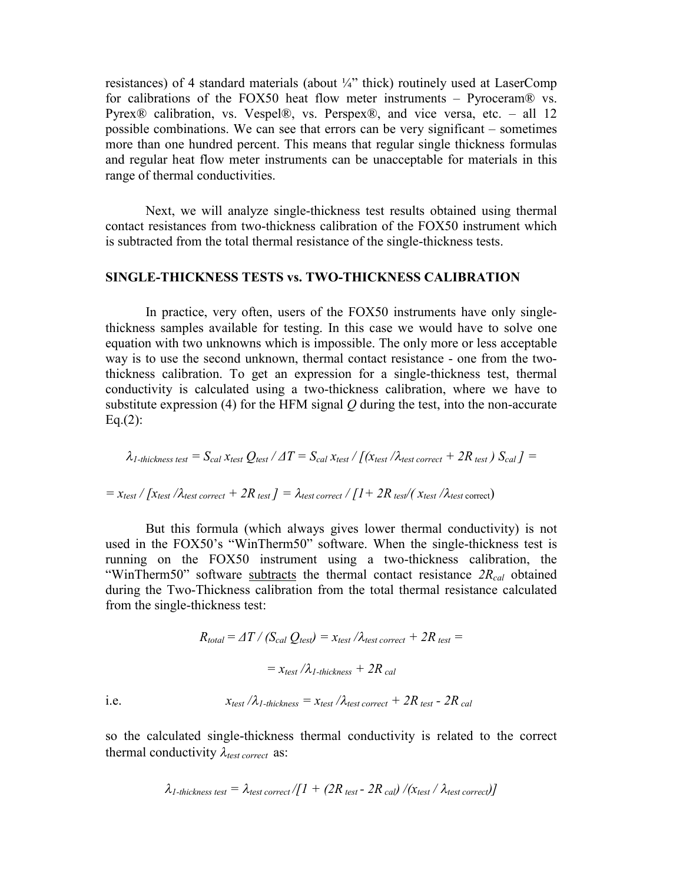resistances) of 4 standard materials (about  $\frac{1}{4}$ " thick) routinely used at LaserComp for calibrations of the FOX50 heat flow meter instruments – Pyroceram $\mathcal{R}$  vs. Pyrex® calibration, vs. Vespel®, vs. Perspex®, and vice versa, etc. – all 12 possible combinations. We can see that errors can be very significant  $-$  sometimes more than one hundred percent. This means that regular single thickness formulas and regular heat flow meter instruments can be unacceptable for materials in this range of thermal conductivities.

Next, we will analyze single-thickness test results obtained using thermal contact resistances from two-thickness calibration of the FOX50 instrument which is subtracted from the total thermal resistance of the single-thickness tests.

### **SINGLE-THICKNESS TESTS vs. TWO-THICKNESS CALIBRATION**

In practice, very often, users of the FOX50 instruments have only singlethickness samples available for testing. In this case we would have to solve one equation with two unknowns which is impossible. The only more or less acceptable way is to use the second unknown, thermal contact resistance - one from the twothickness calibration. To get an expression for a single-thickness test, thermal conductivity is calculated using a two-thickness calibration, where we have to substitute expression (4) for the HFM signal *Q* during the test, into the non-accurate  $Eq.(2):$ 

$$
\lambda_{\textit{1-thickness test}} = S_{cal} \, x_{\textit{test}} \, Q_{\textit{test}} \, / \, \varDelta T = S_{cal} \, x_{\textit{test}} \, / \, \textit{[} \, (x_{\textit{test}} \, / \lambda_{\textit{test correct}} + 2R_{\textit{test}} \, ) \, S_{cal} \,] =
$$

$$
= x_{test} / [x_{test} / \lambda_{test\ correct} + 2R_{test} ] = \lambda_{test\ correct} / [1 + 2R_{test} / (x_{test} / \lambda_{test\ correct})]
$$

But this formula (which always gives lower thermal conductivity) is not used in the FOX50's "WinTherm50" software. When the single-thickness test is running on the FOX50 instrument using a two-thickness calibration, the "WinTherm50" software subtracts the thermal contact resistance  $2R_{cal}$  obtained during the Two-Thickness calibration from the total thermal resistance calculated from the single-thickness test:

$$
R_{total} = \Delta T / (S_{cal} Q_{test}) = x_{test} / \lambda_{test\ correct} + 2R_{test} =
$$

$$
= x_{test} / \lambda_{1\text{-}thickness} + 2R_{cal}
$$
  
i.e. 
$$
x_{test} / \lambda_{1\text{-}thickness} = x_{test} / \lambda_{test\ correct} + 2R_{test} - 2R_{cal}
$$

so the calculated single-thickness thermal conductivity is related to the correct thermal conductivity  $\lambda_{test\ correct}$  as:

$$
\lambda_{1\text{-thickness test}} = \lambda_{\text{test correct}}/[1 + (2R_{\text{test}} - 2R_{\text{cal}})/(x_{\text{test}} / \lambda_{\text{test correct}})]
$$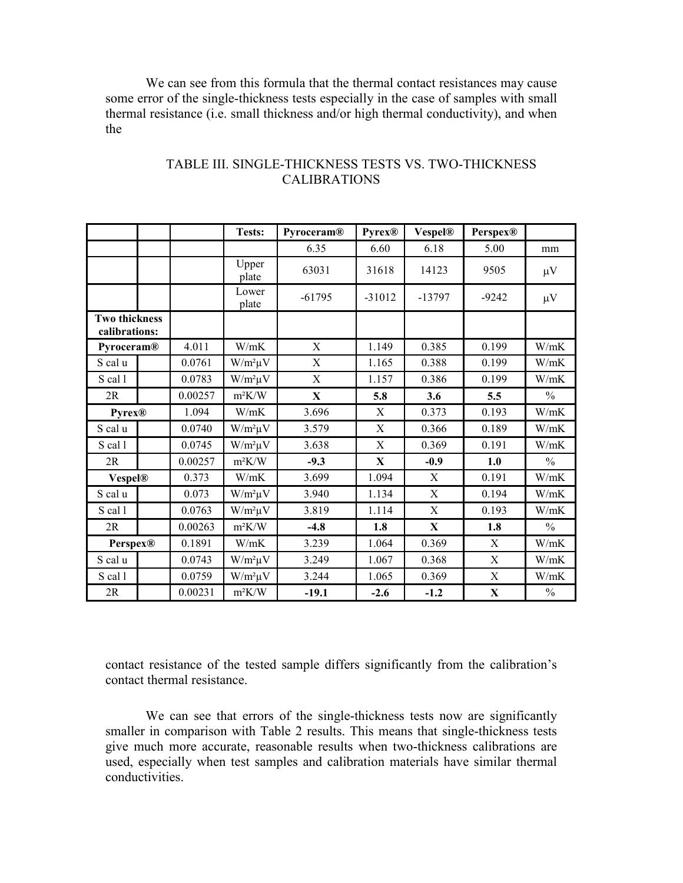We can see from this formula that the thermal contact resistances may cause some error of the single-thickness tests especially in the case of samples with small thermal resistance (i.e. small thickness and/or high thermal conductivity), and when the

|                                       |  |         | Tests:         | Pyroceram®  | <b>Pyrex®</b> | <b>Vespel®</b> | <b>Perspex®</b> |               |
|---------------------------------------|--|---------|----------------|-------------|---------------|----------------|-----------------|---------------|
|                                       |  |         |                | 6.35        | 6.60          | 6.18           | 5.00            | mm            |
|                                       |  |         | Upper<br>plate | 63031       | 31618         | 14123          | 9505            | $\mu$ V       |
|                                       |  |         | Lower<br>plate | $-61795$    | $-31012$      | $-13797$       | $-9242$         | $\mu V$       |
| <b>Two thickness</b><br>calibrations: |  |         |                |             |               |                |                 |               |
| Pyroceram®                            |  | 4.011   | W/mK           | X           | 1.149         | 0.385          | 0.199           | W/mK          |
| S cal u                               |  | 0.0761  | $W/m^2\mu V$   | X           | 1.165         | 0.388          | 0.199           | W/mK          |
| S cal 1                               |  | 0.0783  | $W/m^2\mu V$   | X           | 1.157         | 0.386          | 0.199           | W/mK          |
| 2R                                    |  | 0.00257 | $m^2K/W$       | $\mathbf X$ | 5.8           | 3.6            | 5.5             | $\frac{0}{0}$ |
| <b>Pyrex®</b>                         |  | 1.094   | W/mK           | 3.696       | X             | 0.373          | 0.193           | W/mK          |
| S cal u                               |  | 0.0740  | $W/m^2\mu V$   | 3.579       | $\mathbf X$   | 0.366          | 0.189           | W/mK          |
| S cal 1                               |  | 0.0745  | $W/m^2\mu V$   | 3.638       | X             | 0.369          | 0.191           | W/mK          |
| 2R                                    |  | 0.00257 | $m^2K/W$       | $-9.3$      | X             | $-0.9$         | 1.0             | $\frac{0}{0}$ |
| <b>Vespel®</b>                        |  | 0.373   | W/mK           | 3.699       | 1.094         | X              | 0.191           | W/mK          |
| S cal u                               |  | 0.073   | $W/m^2\mu V$   | 3.940       | 1.134         | $\mathbf X$    | 0.194           | W/mK          |
| S cal 1                               |  | 0.0763  | $W/m^2\mu V$   | 3.819       | 1.114         | X              | 0.193           | W/mK          |
| 2R                                    |  | 0.00263 | $m^2K/W$       | $-4.8$      | 1.8           | X              | 1.8             | $\frac{0}{0}$ |
| <b>Perspex®</b>                       |  | 0.1891  | W/mK           | 3.239       | 1.064         | 0.369          | X               | W/mK          |
| S cal u                               |  | 0.0743  | $W/m^2\mu V$   | 3.249       | 1.067         | 0.368          | X               | W/mK          |
| S cal 1                               |  | 0.0759  | $W/m^2\mu V$   | 3.244       | 1.065         | 0.369          | X               | W/mK          |
| 2R                                    |  | 0.00231 | $m^2K/W$       | $-19.1$     | $-2.6$        | $-1.2$         | X               | $\frac{0}{0}$ |

## TABLE III. SINGLE-THICKNESS TESTS VS. TWO-THICKNESS CALIBRATIONS

contact resistance of the tested sample differs significantly from the calibration's contact thermal resistance.

We can see that errors of the single-thickness tests now are significantly smaller in comparison with Table 2 results. This means that single-thickness tests give much more accurate, reasonable results when two-thickness calibrations are used, especially when test samples and calibration materials have similar thermal conductivities.